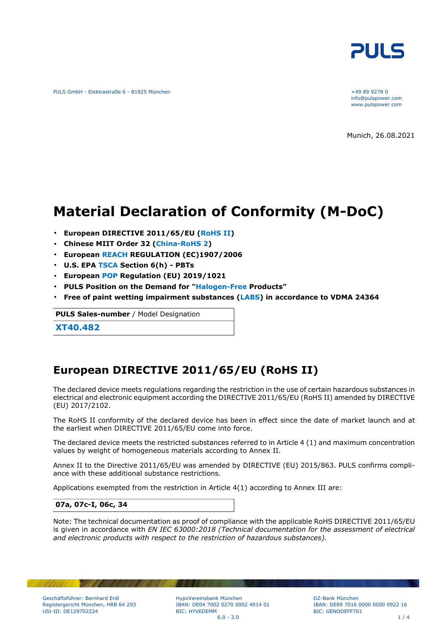

PULS GmbH - Elektrastraße 6 - 81925 München +49 89 9278 0

info@pulspower.com www.pulspower.com

Munich, 26.08.2021

# **Material Declaration of Conformity (M-DoC)**

- **European DIRECTIVE 2011/65/EU (RoHS II)**
- **Chinese MIIT Order 32 (China-RoHS 2)**
- **European REACH REGULATION (EC)1907/2006**
- **U.S. EPA TSCA Section 6(h) PBTs**
- **European POP Regulation (EU) 2019/1021**
- **PULS Position on the Demand for "Halogen-Free Products"**
- **Free of paint wetting impairment substances (LABS) in accordance to VDMA 24364**

**PULS Sales-number** / Model Designation

**XT40.482**

### **European DIRECTIVE 2011/65/EU (RoHS II)**

The declared device meets regulations regarding the restriction in the use of certain hazardous substances in electrical and electronic equipment according the DIRECTIVE 2011/65/EU (RoHS II) amended by DIRECTIVE (EU) 2017/2102.

The RoHS II conformity of the declared device has been in effect since the date of market launch and at the earliest when DIRECTIVE 2011/65/EU come into force.

The declared device meets the restricted substances referred to in Article 4 (1) and maximum concentration values by weight of homogeneous materials according to Annex II.

Annex II to the Directive 2011/65/EU was amended by DIRECTIVE (EU) 2015/863. PULS confirms compliance with these additional substance restrictions.

Applications exempted from the restriction in Article 4(1) according to Annex III are:

#### **07a, 07c-I, 06c, 34**

Note: The technical documentation as proof of compliance with the applicable RoHS DIRECTIVE 2011/65/EU is given in accordance with *EN IEC 63000:2018 (Technical documentation for the assessment of electrical and electronic products with respect to the restriction of hazardous substances).*

HypoVereinsbank München IBAN: DE04 7002 0270 0002 4014 01 BIC: HYVEDEMM  $6.0 - 3.0$  1 / 4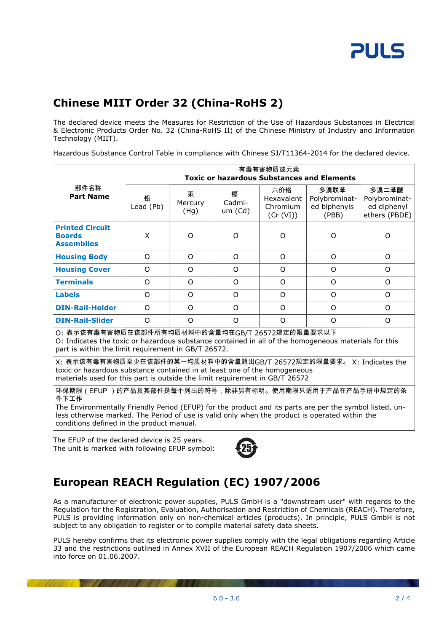# **Chinese MIIT Order 32 (China-RoHS 2)**

The declared device meets the Measures for Restriction of the Use of Hazardous Substances in Electrical & Electronic Products Order No. 32 (China-RoHS II) of the Chinese Ministry of Industry and Information Technology (MIIT).

Hazardous Substance Control Table in compliance with Chinese SJ/T11364-2014 for the declared device.

|                                                                                                                                                                                                                                                                                                                          | 有毒有害物质或元素<br><b>Toxic or hazardous Substances and Elements</b> |                      |                        |                                            |                                                |                                                        |  |
|--------------------------------------------------------------------------------------------------------------------------------------------------------------------------------------------------------------------------------------------------------------------------------------------------------------------------|----------------------------------------------------------------|----------------------|------------------------|--------------------------------------------|------------------------------------------------|--------------------------------------------------------|--|
| 部件名称<br><b>Part Name</b>                                                                                                                                                                                                                                                                                                 | 铅<br>Lead (Pb)                                                 | 汞<br>Mercury<br>(Hg) | 镉<br>Cadmi-<br>um (Cd) | 六价铬<br>Hexavalent<br>Chromium<br>(Cr (VI)) | 多溴联苯<br>Polybrominat-<br>ed biphenyls<br>(PBB) | 多溴二苯醚<br>Polybrominat-<br>ed diphenyl<br>ethers (PBDE) |  |
| <b>Printed Circuit</b><br><b>Boards</b><br><b>Assemblies</b>                                                                                                                                                                                                                                                             | X                                                              | O                    | O                      | O                                          | O                                              | $\circ$                                                |  |
| <b>Housing Body</b>                                                                                                                                                                                                                                                                                                      | O                                                              | O                    | $\Omega$               | $\Omega$                                   | $\circ$                                        | $\circ$                                                |  |
| <b>Housing Cover</b>                                                                                                                                                                                                                                                                                                     | O                                                              | O                    | $\Omega$               | O                                          | $\Omega$                                       | $\circ$                                                |  |
| <b>Terminals</b>                                                                                                                                                                                                                                                                                                         | O                                                              | O                    | $\Omega$               | $\Omega$                                   | O                                              | $\circ$                                                |  |
| <b>Labels</b>                                                                                                                                                                                                                                                                                                            | $\Omega$                                                       | O                    | $\Omega$               | O                                          | O                                              | $\Omega$                                               |  |
| <b>DIN-Rail-Holder</b>                                                                                                                                                                                                                                                                                                   | O                                                              | O                    | $\Omega$               | O                                          | O                                              | $\Omega$                                               |  |
| <b>DIN-Rail-Slider</b>                                                                                                                                                                                                                                                                                                   | O                                                              | O                    | $\Omega$               | O                                          | O                                              | $\circ$                                                |  |
| O: 表示该有毒有害物质在该部件所有均质材料中的含量均在GB/T 26572规定的限量要求以下<br>O: Indicates the toxic or hazardous substance contained in all of the homogeneous materials for this<br>part is within the limit requirement in GB/T 26572.                                                                                                           |                                                                |                      |                        |                                            |                                                |                                                        |  |
| X: 表示该有毒有害物质至少在该部件的某一均质材料中的含量超出GB/T 26572规定的限量要求。 X: Indicates the<br>toxic or hazardous substance contained in at least one of the homogeneous<br>materials used for this part is outside the limit requirement in GB/T 26572                                                                                           |                                                                |                      |                        |                                            |                                                |                                                        |  |
| 环保期限(EFUP )的产品及其部件是每个列出的符号,除非另有标明。使用期限只适用于产品在产品手册中规定的条<br>件下工作<br>The Environmentally Friendly Period (EFUP) for the product and its parts are per the symbol listed, un-<br>less otherwise marked. The Period of use is valid only when the product is operated within the<br>conditions defined in the product manual. |                                                                |                      |                        |                                            |                                                |                                                        |  |

The EFUP of the declared device is 25 years. The unit is marked with following EFUP symbol:



## **European REACH Regulation (EC) 1907/2006**

As a manufacturer of electronic power supplies, PULS GmbH is a "downstream user" with regards to the Regulation for the Registration, Evaluation, Authorisation and Restriction of Chemicals (REACH). Therefore, PULS is providing information only on non-chemical articles (products). In principle, PULS GmbH is not subject to any obligation to register or to compile material safety data sheets.

PULS hereby confirms that its electronic power supplies comply with the legal obligations regarding Article 33 and the restrictions outlined in Annex XVII of the European REACH Regulation 1907/2006 which came into force on 01.06.2007.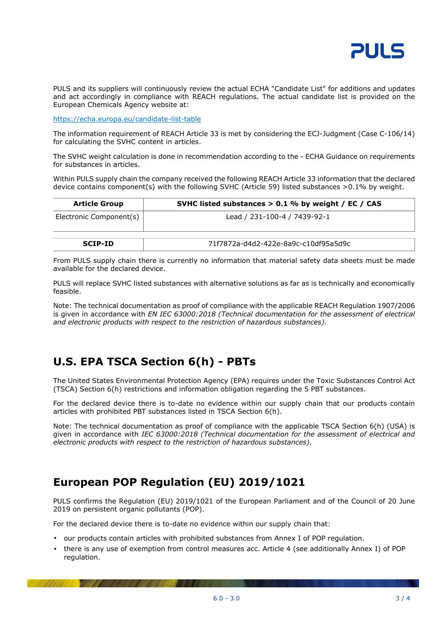

PULS and its suppliers will continuously review the actual ECHA "Candidate List" for additions and updates and act accordingly in compliance with REACH regulations. The actual candidate list is provided on the European Chemicals Agency website at:

<https://echa.europa.eu/candidate-list-table>

The information requirement of REACH Article 33 is met by considering the ECJ-Judgment (Case C-106/14) for calculating the SVHC content in articles.

The SVHC weight calculation is done in recommendation according to the - ECHA Guidance on requirements for substances in articles.

Within PULS supply chain the company received the following REACH Article 33 information that the declared device contains component(s) with the following SVHC (Article 59) listed substances >0.1% by weight.

| <b>Article Group</b>    | SVHC listed substances $> 0.1$ % by weight / EC / CAS |  |
|-------------------------|-------------------------------------------------------|--|
| Electronic Component(s) | Lead / 231-100-4 / 7439-92-1                          |  |
| <b>SCIP-ID</b>          | 71f7872a-d4d2-422e-8a9c-c10df95a5d9c                  |  |

From PULS supply chain there is currently no information that material safety data sheets must be made available for the declared device.

PULS will replace SVHC listed substances with alternative solutions as far as is technically and economically feasible.

Note: The technical documentation as proof of compliance with the applicable REACH Regulation 1907/2006 is given in accordance with *EN IEC 63000:2018 (Technical documentation for the assessment of electrical and electronic products with respect to the restriction of hazardous substances).*

### **U.S. EPA TSCA Section 6(h) - PBTs**

The United States Environmental Protection Agency (EPA) requires under the Toxic Substances Control Act (TSCA) Section 6(h) restrictions and information obligation regarding the 5 PBT substances.

For the declared device there is to-date no evidence within our supply chain that our products contain articles with prohibited PBT substances listed in TSCA Section 6(h).

Note: The technical documentation as proof of compliance with the applicable TSCA Section 6(h) (USA) is given in accordance with *IEC 63000:2018 (Technical documentation for the assessment of electrical and electronic products with respect to the restriction of hazardous substances).*

### **European POP Regulation (EU) 2019/1021**

PULS confirms the Regulation (EU) 2019/1021 of the European Parliament and of the Council of 20 June 2019 on persistent organic pollutants (POP).

For the declared device there is to-date no evidence within our supply chain that:

- our products contain articles with prohibited substances from Annex I of POP regulation.
- there is any use of exemption from control measures acc. Article 4 (see additionally Annex I) of POP regulation.